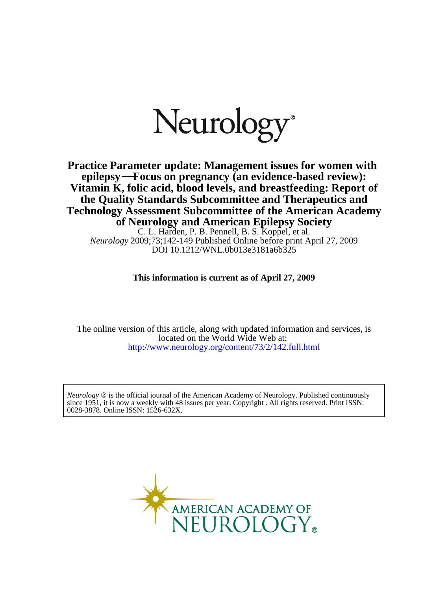

# **of Neurology and American Epilepsy Society Technology Assessment Subcommittee of the American Academy the Quality Standards Subcommittee and Therapeutics and Vitamin K, folic acid, blood levels, and breastfeeding: Report of epilepsy**−−**Focus on pregnancy (an evidence-based review): Practice Parameter update: Management issues for women with**

DOI 10.1212/WNL.0b013e3181a6b325 *Neurology* 2009;73;142-149 Published Online before print April 27, 2009 C. L. Harden, P. B. Pennell, B. S. Koppel, et al.

# **This information is current as of April 27, 2009**

<http://www.neurology.org/content/73/2/142.full.html> located on the World Wide Web at: The online version of this article, along with updated information and services, is

0028-3878. Online ISSN: 1526-632X. since 1951, it is now a weekly with 48 issues per year. Copyright . All rights reserved. Print ISSN: *Neurology* ® is the official journal of the American Academy of Neurology. Published continuously

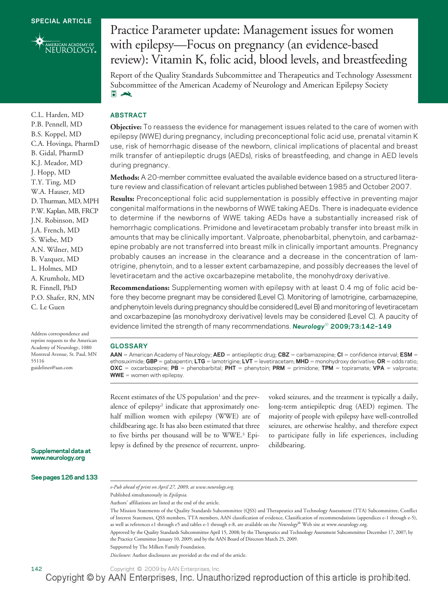

C.L. Harden, MD P.B. Pennell, MD B.S. Koppel, MD C.A. Hovinga, PharmD B. Gidal, PharmD K.J. Meador, MD J. Hopp, MD T.Y. Ting, MD W.A. Hauser, MD D. Thurman, MD, MPH P.W. Kaplan, MB, FRCP J.N. Robinson, MD J.A. French, MD S. Wiebe, MD A.N. Wilner, MD B. Vazquez, MD L. Holmes, MD A. Krumholz, MD R. Finnell, PhD P.O. Shafer, RN, MN C. Le Guen

Address correspondence and reprint requests to the American Academy of Neurology, 1080 Montreal Avenue, St. Paul, MN 55116 guidelines@aan.com

**www.neurology.org**

## **See pages 126 and 133**

# Practice Parameter update: Management issues for women with epilepsy—Focus on pregnancy (an evidence-based review): Vitamin K, folic acid, blood levels, and breastfeeding

Report of the Quality Standards Subcommittee and Therapeutics and Technology Assessment Subcommittee of the American Academy of Neurology and American Epilepsy Society  $\overline{\bullet}$ 

# **ABSTRACT**

**Objective:** To reassess the evidence for management issues related to the care of women with epilepsy (WWE) during pregnancy, including preconceptional folic acid use, prenatal vitamin K use, risk of hemorrhagic disease of the newborn, clinical implications of placental and breast milk transfer of antiepileptic drugs (AEDs), risks of breastfeeding, and change in AED levels during pregnancy.

**Methods:** A 20-member committee evaluated the available evidence based on a structured literature review and classification of relevant articles published between 1985 and October 2007.

**Results:** Preconceptional folic acid supplementation is possibly effective in preventing major congenital malformations in the newborns of WWE taking AEDs. There is inadequate evidence to determine if the newborns of WWE taking AEDs have a substantially increased risk of hemorrhagic complications. Primidone and levetiracetam probably transfer into breast milk in amounts that may be clinically important. Valproate, phenobarbital, phenytoin, and carbamazepine probably are not transferred into breast milk in clinically important amounts. Pregnancy probably causes an increase in the clearance and a decrease in the concentration of lamotrigine, phenytoin, and to a lesser extent carbamazepine, and possibly decreases the level of levetiracetam and the active oxcarbazepine metabolite, the monohydroxy derivative.

**Recommendations:** Supplementing women with epilepsy with at least 0.4 mg of folic acid before they become pregnant may be considered (Level C). Monitoring of lamotrigine, carbamazepine, and phenytoin levels during pregnancy should be considered (Level B) and monitoring of levetiracetam and oxcarbazepine (as monohydroxy derivative) levels may be considered (Level C). A paucity of evidence limited the strength of many recommendations. *Neurology*® **2009;73:142–149**

#### **GLOSSARY**

AAN = American Academy of Neurology; **AED** = antiepileptic drug; **CBZ** = carbamazepine; **CI** = confidence interval; **ESM** = ethosuximide; GBP = gabapentin; LTG = lamotrigine; LVT = levetiracetam; MHD = monohydroxy derivative; OR = odds ratio;  $\mathsf{OXC}$  = oxcarbazepine;  $\mathsf{PB}$  = phenobarbital;  $\mathsf{PHT}$  = phenytoin;  $\mathsf{PRM}$  = primidone;  $\mathsf{TPM}$  = topiramate;  $\mathsf{VPA}$  = valproate;  $WWE =$  women with epilepsy.

Recent estimates of the US population $<sup>1</sup>$  and the prev-</sup> alence of epilepsy<sup>2</sup> indicate that approximately onehalf million women with epilepsy (WWE) are of childbearing age. It has also been estimated that three to five births per thousand will be to WWE.3 Epilepsy is defined by the presence of recurrent, unpro-childbearing. **Supplemental data at**

voked seizures, and the treatment is typically a daily, long-term antiepileptic drug (AED) regimen. The majority of people with epilepsy have well-controlled seizures, are otherwise healthy, and therefore expect to participate fully in life experiences, including

Approved by the Quality Standards Subcommittee April 15, 2008; by the Therapeutics and Technology Assessment Subcommittee December 17, 2007; by the Practice Committee January 10, 2009; and by the AAN Board of Directors March 25, 2009.

*Disclosure:* Author disclosures are provided at the end of the article.

*e-Pub ahead of print on April 27, 2009, at www.neurology.org.*

Published simultaneously in *Epilepsia.*

Authors' affiliations are listed at the end of the article.

The Mission Statements of the Quality Standards Subcommittee (QSS) and Therapeutics and Technology Assessment (TTA) Subcommittee, Conflict of Interest Statement, QSS members, TTA members, AAN classification of evidence, Classification of recommendations (appendices e-1 through e-5), as well as references e1 through e5 and tables e-1 through e-8, are available on the *Neurology*® Web site at www.neurology.org.

Supported by The Milken Family Foundation.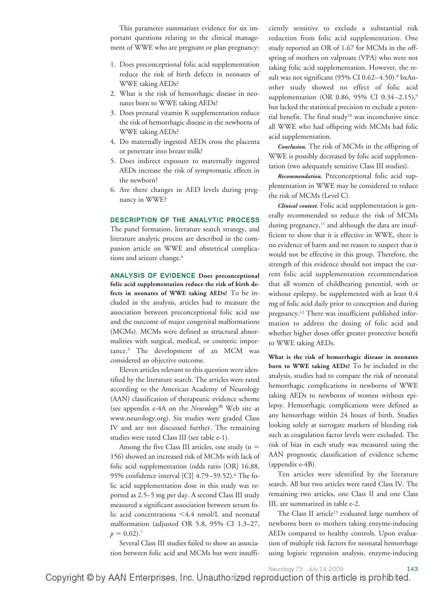This parameter summarizes evidence for six important questions relating to the clinical management of WWE who are pregnant or plan pregnancy:

- 1. Does preconceptional folic acid supplementation reduce the risk of birth defects in neonates of WWE taking AEDs?
- 2. What is the risk of hemorrhagic disease in neonates born to WWE taking AEDs?
- 3. Does prenatal vitamin K supplementation reduce the risk of hemorrhagic disease in the newborns of WWE taking AEDs?
- 4. Do maternally ingested AEDs cross the placenta or penetrate into breast milk?
- 5. Does indirect exposure to maternally ingested AEDs increase the risk of symptomatic effects in the newborn?
- 6. Are there changes in AED levels during pregnancy in WWE?

## **DESCRIPTION OF THE ANALYTIC PROCESS**

The panel formation, literature search strategy, and literature analytic process are described in the companion article on WWE and obstetrical complications and seizure change.<sup>4</sup>

**ANALYSIS OF EVIDENCE Does preconceptional folic acid supplementation reduce the risk of birth defects in neonates of WWE taking AEDs?** To be included in the analysis, articles had to measure the association between preconceptional folic acid use and the outcome of major congenital malformations (MCMs). MCMs were defined as structural abnormalities with surgical, medical, or cosmetic importance.5 The development of an MCM was considered an objective outcome.

Eleven articles relevant to this question were identified by the literature search. The articles were rated according to the American Academy of Neurology (AAN) classification of therapeutic evidence scheme (see appendix e-4A on the *Neurology®* Web site at www.neurology.org). Six studies were graded Class IV and are not discussed further. The remaining studies were rated Class III (see table e-1).

Among the five Class III articles, one study  $(n =$ 156) showed an increased risk of MCMs with lack of folic acid supplementation (odds ratio [OR] 16.88, 95% confidence interval [CI] 4.79–59.52).<sup>6</sup> The folic acid supplementation dose in this study was reported as 2.5–5 mg per day. A second Class III study measured a significant association between serum folic acid concentrations <4.4 nmol/L and neonatal malformation (adjusted OR 5.8, 95% CI 1.3–27,  $p = 0.02$ .<sup>7</sup>

Several Class III studies failed to show an association between folic acid and MCMs but were insufficiently sensitive to exclude a substantial risk reduction from folic acid supplementation. One study reported an OR of 1.67 for MCMs in the offspring of mothers on valproate (VPA) who were not taking folic acid supplementation. However, the result was not significant (95% CI 0.62-4.50).<sup>8</sup> bxAnother study showed no effect of folic acid supplementation (OR 0.86, 95% CI 0.34-2.15),<sup>9</sup> but lacked the statistical precision to exclude a potential benefit. The final study<sup>10</sup> was inconclusive since all WWE who had offspring with MCMs had folic acid supplementation.

*Conclusion.* The risk of MCMs in the offspring of WWE is possibly decreased by folic acid supplementation (two adequately sensitive Class III studies).

*Recommendation.* Preconceptional folic acid supplementation in WWE may be considered to reduce the risk of MCMs (Level C).

*Clinical context.* Folic acid supplementation is generally recommended to reduce the risk of MCMs during pregnancy, $11$  and although the data are insufficient to show that it is effective in WWE, there is no evidence of harm and no reason to suspect that it would not be effective in this group. Therefore, the strength of this evidence should not impact the current folic acid supplementation recommendation that all women of childbearing potential, with or without epilepsy, be supplemented with at least 0.4 mg of folic acid daily prior to conception and during pregnancy.12 There was insufficient published information to address the dosing of folic acid and whether higher doses offer greater protective benefit to WWE taking AEDs.

**What is the risk of hemorrhagic disease in neonates born to WWE taking AEDs?** To be included in the analysis, studies had to compare the risk of neonatal hemorrhagic complications in newborns of WWE taking AEDs to newborns of women without epilepsy. Hemorrhagic complications were defined as any hemorrhage within 24 hours of birth. Studies looking solely at surrogate markers of bleeding risk such as coagulation factor levels were excluded. The risk of bias in each study was measured using the AAN prognostic classification of evidence scheme (appendix e-4B).

Ten articles were identified by the literature search. All but two articles were rated Class IV. The remaining two articles, one Class II and one Class III, are summarized in table e-2.

The Class II article<sup>13</sup> evaluated large numbers of newborns born to mothers taking enzyme-inducing AEDs compared to healthy controls. Upon evaluation of multiple risk factors for neonatal hemorrhage using logistic regression analysis, enzyme-inducing

Neurology 73 July 14, 2009 143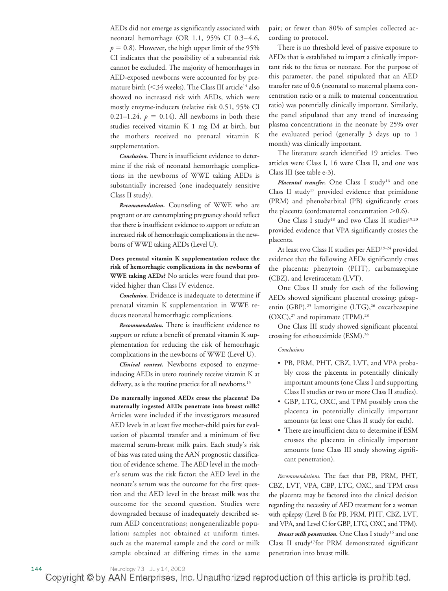AEDs did not emerge as significantly associated with neonatal hemorrhage (OR 1.1, 95% CI 0.3-4.6,  $p = 0.8$ ). However, the high upper limit of the 95% CI indicates that the possibility of a substantial risk cannot be excluded. The majority of hemorrhages in AED-exposed newborns were accounted for by premature birth ( $\leq$ 34 weeks). The Class III article<sup>14</sup> also showed no increased risk with AEDs, which were mostly enzyme-inducers (relative risk 0.51, 95% CI 0.21–1.24,  $p = 0.14$ ). All newborns in both these studies received vitamin K 1 mg IM at birth, but the mothers received no prenatal vitamin K supplementation.

*Conclusion.* There is insufficient evidence to determine if the risk of neonatal hemorrhagic complications in the newborns of WWE taking AEDs is substantially increased (one inadequately sensitive Class II study).

*Recommendation.* Counseling of WWE who are pregnant or are contemplating pregnancy should reflect that there is insufficient evidence to support or refute an increased risk of hemorrhagic complications in the newborns of WWE taking AEDs (Level U).

**Does prenatal vitamin K supplementation reduce the risk of hemorrhagic complications in the newborns of WWE taking AEDs?** No articles were found that provided higher than Class IV evidence.

*Conclusion.* Evidence is inadequate to determine if prenatal vitamin K supplementation in WWE reduces neonatal hemorrhagic complications.

*Recommendation.* There is insufficient evidence to support or refute a benefit of prenatal vitamin K supplementation for reducing the risk of hemorrhagic complications in the newborns of WWE (Level U).

*Clinical context.* Newborns exposed to enzymeinducing AEDs in utero routinely receive vitamin K at delivery, as is the routine practice for all newborns.<sup>15</sup>

**Do maternally ingested AEDs cross the placenta? Do maternally ingested AEDs penetrate into breast milk?** Articles were included if the investigators measured AED levels in at least five mother-child pairs for evaluation of placental transfer and a minimum of five maternal serum-breast milk pairs. Each study's risk of bias was rated using the AAN prognostic classification of evidence scheme. The AED level in the mother's serum was the risk factor; the AED level in the neonate's serum was the outcome for the first question and the AED level in the breast milk was the outcome for the second question. Studies were downgraded because of inadequately described serum AED concentrations; nongeneralizable population; samples not obtained at uniform times, such as the maternal sample and the cord or milk sample obtained at differing times in the same pair; or fewer than 80% of samples collected according to protocol.

There is no threshold level of passive exposure to AEDs that is established to impart a clinically important risk to the fetus or neonate. For the purpose of this parameter, the panel stipulated that an AED transfer rate of 0.6 (neonatal to maternal plasma concentration ratio or a milk to maternal concentration ratio) was potentially clinically important. Similarly, the panel stipulated that any trend of increasing plasma concentrations in the neonate by 25% over the evaluated period (generally 3 days up to 1 month) was clinically important.

The literature search identified 19 articles. Two articles were Class I, 16 were Class II, and one was Class III (see table e-3).

Placental transfer. One Class I study<sup>16</sup> and one Class II study<sup>17</sup> provided evidence that primidone (PRM) and phenobarbital (PB) significantly cross the placenta (cord: maternal concentration  $> 0.6$ ).

One Class I study<sup>18</sup> and two Class II studies<sup>19,20</sup> provided evidence that VPA significantly crosses the placenta.

At least two Class II studies per AED19-24 provided evidence that the following AEDs significantly cross the placenta: phenytoin (PHT), carbamazepine (CBZ), and levetiracetam (LVT).

One Class II study for each of the following AEDs showed significant placental crossing: gabapentin (GBP),<sup>25</sup> lamotrigine (LTG),<sup>26</sup> oxcarbazepine  $(OXC),<sup>27</sup>$  and topiramate  $(TPM).<sup>28</sup>$ 

One Class III study showed significant placental crossing for ethosuximide (ESM).29

# *Conclusions*

- PB, PRM, PHT, CBZ, LVT, and VPA probably cross the placenta in potentially clinically important amounts (one Class I and supporting Class II studies or two or more Class II studies).
- GBP, LTG, OXC, and TPM possibly cross the placenta in potentially clinically important amounts (at least one Class II study for each).
- There are insufficient data to determine if ESM crosses the placenta in clinically important amounts (one Class III study showing significant penetration).

*Recommendations.* The fact that PB, PRM, PHT, CBZ, LVT, VPA, GBP, LTG, OXC, and TPM cross the placenta may be factored into the clinical decision regarding the necessity of AED treatment for a woman with epilepsy (Level B for PB, PRM, PHT, CBZ, LVT, and VPA, and Level C for GBP, LTG, OXC, and TPM).

*Breast milk penetration.* One Class I study<sup>16</sup> and one Class II study<sup>17</sup>for PRM demonstrated significant penetration into breast milk.

# 144 Neurology 73 July 14, 2009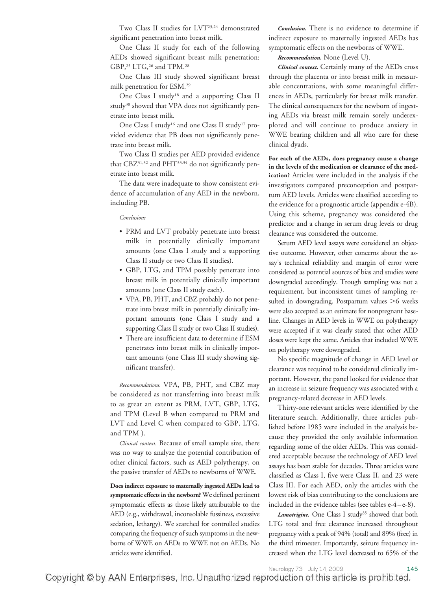Two Class II studies for LVT<sup>23,24</sup> demonstrated significant penetration into breast milk.

One Class II study for each of the following AEDs showed significant breast milk penetration: GBP,25 LTG,26 and TPM.28

One Class III study showed significant breast milk penetration for ESM.29

One Class I study<sup>18</sup> and a supporting Class II study<sup>30</sup> showed that VPA does not significantly penetrate into breast milk.

One Class I study<sup>16</sup> and one Class II study<sup>17</sup> provided evidence that PB does not significantly penetrate into breast milk.

Two Class II studies per AED provided evidence that CBZ<sup>31,32</sup> and PHT<sup>33,34</sup> do not significantly penetrate into breast milk.

The data were inadequate to show consistent evidence of accumulation of any AED in the newborn, including PB.

#### *Conclusions*

- PRM and LVT probably penetrate into breast milk in potentially clinically important amounts (one Class I study and a supporting Class II study or two Class II studies).
- GBP, LTG, and TPM possibly penetrate into breast milk in potentially clinically important amounts (one Class II study each).
- VPA, PB, PHT, and CBZ probably do not penetrate into breast milk in potentially clinically important amounts (one Class I study and a supporting Class II study or two Class II studies).
- There are insufficient data to determine if ESM penetrates into breast milk in clinically important amounts (one Class III study showing significant transfer).

*Recommendations.* VPA, PB, PHT, and CBZ may be considered as not transferring into breast milk to as great an extent as PRM, LVT, GBP, LTG, and TPM (Level B when compared to PRM and LVT and Level C when compared to GBP, LTG, and TPM ).

*Clinical context.* Because of small sample size, there was no way to analyze the potential contribution of other clinical factors, such as AED polytherapy, on the passive transfer of AEDs to newborns of WWE.

**Does indirect exposure to maternally ingested AEDs lead to symptomatic effects in the newborn?** We defined pertinent symptomatic effects as those likely attributable to the AED (e.g., withdrawal, inconsolable fussiness, excessive sedation, lethargy). We searched for controlled studies comparing the frequency of such symptoms in the newborns of WWE on AEDs to WWE not on AEDs. No articles were identified.

*Conclusion.* There is no evidence to determine if indirect exposure to maternally ingested AEDs has symptomatic effects on the newborns of WWE.

*Recommendation.* None (Level U).

*Clinical context.* Certainly many of the AEDs cross through the placenta or into breast milk in measurable concentrations, with some meaningful differences in AEDs, particularly for breast milk transfer. The clinical consequences for the newborn of ingesting AEDs via breast milk remain sorely underexplored and will continue to produce anxiety in WWE bearing children and all who care for these clinical dyads.

**For each of the AEDs, does pregnancy cause a change in the levels of the medication or clearance of the medication?** Articles were included in the analysis if the investigators compared preconception and postpartum AED levels. Articles were classified according to the evidence for a prognostic article (appendix e-4B). Using this scheme, pregnancy was considered the predictor and a change in serum drug levels or drug clearance was considered the outcome.

Serum AED level assays were considered an objective outcome. However, other concerns about the assay's technical reliability and margin of error were considered as potential sources of bias and studies were downgraded accordingly. Trough sampling was not a requirement, but inconsistent times of sampling resulted in downgrading. Postpartum values  $>6$  weeks were also accepted as an estimate for nonpregnant baseline. Changes in AED levels in WWE on polytherapy were accepted if it was clearly stated that other AED doses were kept the same. Articles that included WWE on polytherapy were downgraded.

No specific magnitude of change in AED level or clearance was required to be considered clinically important. However, the panel looked for evidence that an increase in seizure frequency was associated with a pregnancy-related decrease in AED levels.

Thirty-one relevant articles were identified by the literature search. Additionally, three articles published before 1985 were included in the analysis because they provided the only available information regarding some of the older AEDs. This was considered acceptable because the technology of AED level assays has been stable for decades. Three articles were classified as Class I, five were Class II, and 23 were Class III. For each AED, only the articles with the lowest risk of bias contributing to the conclusions are included in the evidence tables (see tables  $e-4-e-8$ ).

Lamotrigine. One Class I study<sup>35</sup> showed that both LTG total and free clearance increased throughout pregnancy with a peak of 94% (total) and 89% (free) in the third trimester. Importantly, seizure frequency increased when the LTG level decreased to 65% of the

Neurology 73 July 14, 2009 145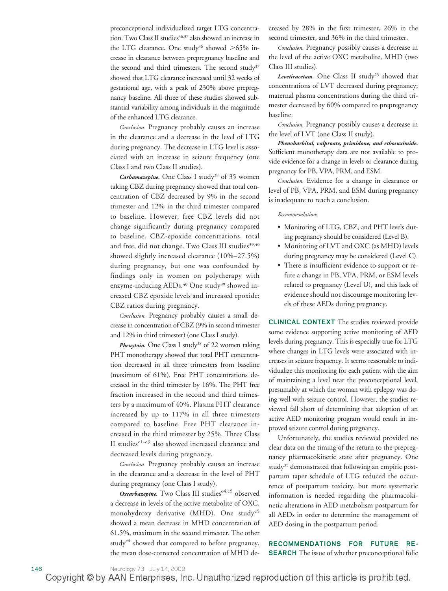preconceptional individualized target LTG concentration. Two Class II studies<sup>36,37</sup> also showed an increase in the LTG clearance. One study<sup>36</sup> showed  $>65\%$  increase in clearance between prepregnancy baseline and the second and third trimesters. The second study<sup>37</sup> showed that LTG clearance increased until 32 weeks of gestational age, with a peak of 230% above prepregnancy baseline. All three of these studies showed substantial variability among individuals in the magnitude of the enhanced LTG clearance.

*Conclusion.* Pregnancy probably causes an increase in the clearance and a decrease in the level of LTG during pregnancy. The decrease in LTG level is associated with an increase in seizure frequency (one Class I and two Class II studies).

*Carbamazepine.* One Class I study<sup>38</sup> of 35 women taking CBZ during pregnancy showed that total concentration of CBZ decreased by 9% in the second trimester and 12% in the third trimester compared to baseline. However, free CBZ levels did not change significantly during pregnancy compared to baseline. CBZ-epoxide concentrations, total and free, did not change. Two Class III studies<sup>39,40</sup> showed slightly increased clearance (10%–27.5%) during pregnancy, but one was confounded by findings only in women on polytherapy with enzyme-inducing AEDs.<sup>40</sup> One study<sup>39</sup> showed increased CBZ epoxide levels and increased epoxide: CBZ ratios during pregnancy.

*Conclusion.* Pregnancy probably causes a small decrease in concentration of CBZ (9% in second trimester and 12% in third trimester) (one Class I study).

Phenytoin. One Class I study<sup>38</sup> of 22 women taking PHT monotherapy showed that total PHT concentration decreased in all three trimesters from baseline (maximum of 61%). Free PHT concentrations decreased in the third trimester by 16%. The PHT free fraction increased in the second and third trimesters by a maximum of 40%. Plasma PHT clearance increased by up to 117% in all three trimesters compared to baseline. Free PHT clearance increased in the third trimester by 25%. Three Class II studies<sup>e1-e3</sup> also showed increased clearance and decreased levels during pregnancy.

*Conclusion.* Pregnancy probably causes an increase in the clearance and a decrease in the level of PHT during pregnancy (one Class I study).

Oxcarbazepine. Two Class III studies<sup>e4,e5</sup> observed a decrease in levels of the active metabolite of OXC, monohydroxy derivative (MHD). One study<sup>e5</sup> showed a mean decrease in MHD concentration of 61.5%, maximum in the second trimester. The other study<sup>e4</sup> showed that compared to before pregnancy, the mean dose-corrected concentration of MHD decreased by 28% in the first trimester, 26% in the second trimester, and 36% in the third trimester.

*Conclusion.* Pregnancy possibly causes a decrease in the level of the active OXC metabolite, MHD (two Class III studies).

Levetiracetam. One Class II study<sup>23</sup> showed that concentrations of LVT decreased during pregnancy; maternal plasma concentrations during the third trimester decreased by 60% compared to prepregnancy baseline.

*Conclusion.* Pregnancy possibly causes a decrease in the level of LVT (one Class II study).

*Phenobarbital, valproate, primidone, and ethosuximide.* Sufficient monotherapy data are not available to provide evidence for a change in levels or clearance during pregnancy for PB, VPA, PRM, and ESM.

*Conclusion.* Evidence for a change in clearance or level of PB, VPA, PRM, and ESM during pregnancy is inadequate to reach a conclusion.

#### *Recommendations*

- Monitoring of LTG, CBZ, and PHT levels during pregnancy should be considered (Level B).
- Monitoring of LVT and OXC (as MHD) levels during pregnancy may be considered (Level C).
- There is insufficient evidence to support or refute a change in PB, VPA, PRM, or ESM levels related to pregnancy (Level U), and this lack of evidence should not discourage monitoring levels of these AEDs during pregnancy.

**CLINICAL CONTEXT** The studies reviewed provide some evidence supporting active monitoring of AED levels during pregnancy. This is especially true for LTG where changes in LTG levels were associated with increases in seizure frequency. It seems reasonable to individualize this monitoring for each patient with the aim of maintaining a level near the preconceptional level, presumably at which the woman with epilepsy was doing well with seizure control. However, the studies reviewed fall short of determining that adoption of an active AED monitoring program would result in improved seizure control during pregnancy.

Unfortunately, the studies reviewed provided no clear data on the timing of the return to the prepregnancy pharmacokinetic state after pregnancy. One study<sup>35</sup> demonstrated that following an empiric postpartum taper schedule of LTG reduced the occurrence of postpartum toxicity, but more systematic information is needed regarding the pharmacokinetic alterations in AED metabolism postpartum for all AEDs in order to determine the management of AED dosing in the postpartum period.

**RECOMMENDATIONS FOR FUTURE RE-SEARCH** The issue of whether preconceptional folic

146 Neurology 73 July 14, 2009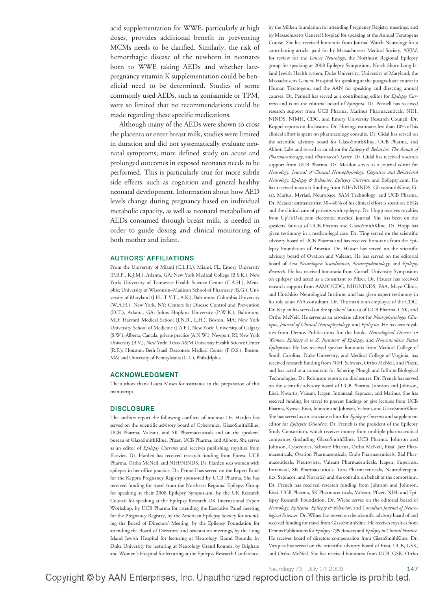acid supplementation for WWE, particularly at high doses, provides additional benefit in preventing MCMs needs to be clarified. Similarly, the risk of hemorrhagic disease of the newborn in neonates born to WWE taking AEDs and whether latepregnancy vitamin K supplementation could be beneficial need to be determined. Studies of some commonly used AEDs, such as zonisamide or TPM, were so limited that no recommendations could be made regarding these specific medications.

Although many of the AEDs were shown to cross the placenta or enter breast milk, studies were limited in duration and did not systematically evaluate neonatal symptoms; more defined study on acute and prolonged outcomes in exposed neonates needs to be performed. This is particularly true for more subtle side effects, such as cognition and general healthy neonatal development. Information about how AED levels change during pregnancy based on individual metabolic capacity, as well as neonatal metabolism of AEDs consumed through breast milk, is needed in order to guide dosing and clinical monitoring of both mother and infant.

## **AUTHORS' AFFILIATIONS**

From the University of Miami (C.L.H.), Miami, FL; Emory University (P.B.P., K.J.M.), Atlanta, GA; New York Medical College (B.S.K.), New York; University of Tennessee Health Science Center (C.A.H.), Memphis; University of Wisconsin–Madison School of Pharmacy (B.G.); University of Maryland (J.H., T.Y.T., A.K.), Baltimore; Columbia University (W.A.H.), New York, NY; Centers for Disease Control and Prevention (D.T.), Atlanta, GA; Johns Hopkins University (P.W.K.), Baltimore, MD; Harvard Medical School (J.N.R., L.H.), Boston, MA; New York University School of Medicine (J.A.F.), New York; University of Calgary (S.W.), Alberta, Canada; private practice (A.N.W.), Newport, RI; New York University (B.V.), New York; Texas A&M University Health Science Center (R.F.), Houston; Beth Israel Deaconess Medical Center (P.O.S.), Boston, MA; and University of Pennsylvania (C.L.), Philadelphia.

## **ACKNOWLEDGMENT**

The authors thank Laura Moses for assistance in the preparation of this manuscript.

### **DISCLOSURE**

The authors report the following conflicts of interest: Dr. Harden has served on the scientific advisory board of Cyberonics, GlaxoSmithKline, UCB Pharma, Valeant, and SK Pharmaceuticals and on the speakers' bureau of GlaxoSmithKline, Pfizer, UCB Pharma, and Abbott. She serves as an editor of *Epilepsy Currents* and receives publishing royalties from Elsevier. Dr. Harden has received research funding from Forest, UCB Pharma, Ortho McNeil, and NIH/NINDS. Dr. Harden sees women with epilepsy in her office practice. Dr. Pennell has served on the Expert Panel for the Keppra Pregnancy Registry sponsored by UCB Pharma. She has received funding for travel from the Northeast Regional Epilepsy Group for speaking at their 2008 Epilepsy Symposium, by the UK Research Council for speaking at the Epilepsy Research UK International Expert Workshop, by UCB Pharma for attending the Executive Panel meeting for the Pregnancy Registry, by the American Epilepsy Society for attending the Board of Directors' Meeting, by the Epilepsy Foundation for attending the Board of Directors' and orientation meetings, by the Long Island Jewish Hospital for lecturing at Neurology Grand Rounds, by Duke University for lecturing at Neurology Grand Rounds, by Brigham and Women's Hospital for lecturing at the Epilepsy Research Conference,

by the Milken foundation for attending Pregnancy Registry meetings, and by Massachusetts General Hospital for speaking at the Annual Teratogens Course. She has received honoraria from Journal Watch Neurology for a contributing article, paid for by Massachusetts Medical Society, *NEJM*, for review for the *Lancet Neurology*, the Northeast Regional Epilepsy group for speaking at 2008 Epilepsy Symposium, North Shore Long Island Jewish Health system, Duke University, University of Maryland, the Massachusetts General Hospital for speaking at the postgraduate course in Human Teratogens, and the AAN for speaking and directing annual courses. Dr. Pennell has served as a contributing editor for *Epilepsy Currents* and is on the editorial board of *Epilepsia*. Dr. Pennell has received research support from UCB Pharma, Marinus Pharmaceuticals, NIH, NINDS, NIMH, CDC, and Emory University Research Council. Dr. Koppel reports no disclosures. Dr. Hovinga estimates less than 10% of his clinical effort is spent on pharmacology consults. Dr. Gidal has served on the scientific advisory board for GlaxoSmithKline, UCB Pharma, and Abbott Labs and served as an editor for *Epilepsy & Behavior*, *The Annals of Pharmacotherapy*, and *Pharmacist's Letter.* Dr. Gidal has received research support from UCB Pharma. Dr. Meador serves as a journal editor for *Neurology, Journal of Clinical Neurophysiology, Cognitive and Behavioral Neurology, Epilepsy & Behavior, Epilepsy Currents*, and Epilepsy.com. He has received research funding from NIH/NINDS, GlaxoSmithKline, Eisai, Marius, Myriad, Neuropace, SAM Technology, and UCB Pharma. Dr. Meador estimates that 30 – 40% of his clinical effort is spent on EEGs and the clinical care of patients with epilepsy. Dr. Hopp receives royalties from UpToDate.com electronic medical journal. She has been on the speakers' bureau of UCB Pharma and GlaxoSmithKline. Dr. Hopp has given testimony in a medico-legal case. Dr. Ting served on the scientific advisory board of UCB Pharma and has received honoraria from the Epilepsy Foundation of America. Dr. Hauser has served on the scientific advisory board of Ovation and Valeant. He has served on the editorial board of *Acta Neurologica Scandinavia, Neuroepidemiology*, and *Epilepsy Research*. He has received honoraria from Cornell University Symposium on epilepsy and acted as a consultant to Pfizer. Dr. Hauser has received research support from AAMC/CDC, NIH/NINDS, FAA, Mayo Clinic, and Hotchkiss Neurological Institute, and has given expert testimony in his role as an FAA consultant. Dr. Thurman is an employee of the CDC. Dr. Kaplan has served on the speakers' bureau of UCB Pharma, GSK, and Ortho McNeil. He serves as an associate editor for *Neurophysiologie Clinique, Journal of Clinical Neurophysiology*, and *Epilepsia*. He receives royalties from Demos Publications for the books *Neurological Disease in Women, Epilepsy A to Z, Imitators of Epilepsy*, and *Nonconvulsive Status Epilepticus*. He has received speaker honoraria from Medical College of South Carolina, Duke University, and Medical College of Virginia, has received research funding from NIH, Schwarz, Ortho McNeil, and Pfizer, and has acted as a consultant for Schering-Plough and Infinite Biological Technologies. Dr. Robinson reports no disclosures. Dr. French has served on the scientific advisory board of UCB Pharma, Johnson and Johnson, Eisai, Novartis, Valeant, Icagen, Intranasal, Sepracor, and Marinus. She has received funding for travel to present findings or give lectures from UCB Pharma, Kyowa, Eisai, Johnson and Johnson, Valeant, and GlaxoSmithKline. She has served as an associate editor for *Epilepsy Currents* and supplement editor for *Epileptic Disorders*. Dr. French is the president of the Epilepsy Study Consortium, which receives money from multiple pharmaceutical companies (including GlaxoSmithKline, UCB Pharma, Johnson and Johnson, Cyberonics, Schwarz Pharma, Ortho McNeil, Eisai, Jazz Pharmaceuticals, Ovation Pharmaceuticals, Endo Pharmaceuticals, Bial Pharmaceuticals, Neurovista, Valeant Pharmaceuticals, Icagen, Supernus, Intranasal, SK Pharmaceuticals, Taro Pharmaceuticals, Neurotherapeutics, Sepracor, and Novartis) and she consults on behalf of the consortium. Dr. French has received research funding from Johnson and Johnson, Eisai, UCB Pharma, SK Pharmaceuticals, Valeant, Pfizer, NIH, and Epilepsy Research Foundation. Dr. Wiebe serves on the editorial board of *Neurology, Epilepsia, Epilepsy & Behavior*, and *Canadian Journal of Neurological Sciences.* Dr. Wilner has served on the scientific advisory board of and received funding for travel from GlaxoSmithKline. He receives royalties from Demos Publications for *Epilepsy: 199 Answers* and *Epilepsy in Clinical Practice*. He receives board of directors compensation from GlaxoSmithKline. Dr. Vazquez has served on the scientific advisory board of Eisai, UCB, GSK, and Ortho McNeil. She has received honoraria from UCB, GSK, Ortho

Neurology 73 July 14, 2009 147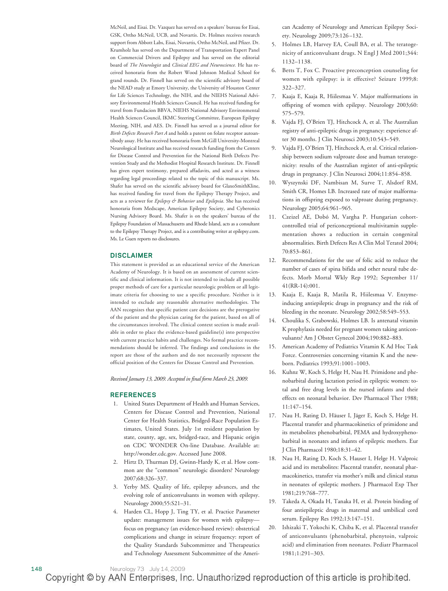McNeil, and Eisai. Dr. Vazquez has served on a speakers' bureau for Eisai, GSK, Ortho McNeil, UCB, and Novartis. Dr. Holmes receives research support from Abbott Labs, Eisai, Novartis, Ortho McNeil, and Pfizer. Dr. Krumholz has served on the Department of Transportation Expert Panel on Commercial Drivers and Epilepsy and has served on the editorial board of *The Neurologist* and *Clinical EEG and Neuroscience.* He has received honoraria from the Robert Wood Johnson Medical School for grand rounds. Dr. Finnell has served on the scientific advisory board of the NEAD study at Emory University, the University of Houston Center for Life Sciences Technology, the NIH, and the NIEHS National Advisory Environmental Health Sciences Council. He has received funding for travel from Fundacion BBVA, NIEHS National Advisory Environmental Health Sciences Council, IKMC Steering Committee, European Epilepsy Meeting, NIH, and AES. Dr. Finnell has served as a journal editor for *Birth Defects Research Part A* and holds a patent on folate receptor autoantibody assay. He has received honoraria from McGill University-Montreal Neurological Institute and has received research funding from the Centers for Disease Control and Prevention for the National Birth Defects Prevention Study and the Methodist Hospital Research Institute. Dr. Finnell has given expert testimony, prepared affadavits, and acted as a witness regarding legal proceedings related to the topic of this manuscript. Ms. Shafer has served on the scientific advisory board for GlaxoSmithKline, has received funding for travel from the Epilepsy Therapy Project, and acts as a reviewer for *Epilepsy & Behavior* and *Epilepsia*. She has received honoraria from Medscape, American Epilepsy Society, and Cyberonics Nursing Advisory Board. Ms. Shafer is on the speakers' bureau of the Epilepsy Foundation of Massachusetts and Rhode Island, acts as a consultant to the Epilepsy Therapy Project, and is a contributing writer at epilepsy.com. Ms. Le Guen reports no disclosures.

#### **DISCLAIMER**

This statement is provided as an educational service of the American Academy of Neurology. It is based on an assessment of current scientific and clinical information. It is not intended to include all possible proper methods of care for a particular neurologic problem or all legitimate criteria for choosing to use a specific procedure. Neither is it intended to exclude any reasonable alternative methodologies. The AAN recognizes that specific patient care decisions are the prerogative of the patient and the physician caring for the patient, based on all of the circumstances involved. The clinical context section is made available in order to place the evidence-based guideline(s) into perspective with current practice habits and challenges. No formal practice recommendations should be inferred. The findings and conclusions in the report are those of the authors and do not necessarily represent the official position of the Centers for Disease Control and Prevention.

*Received January 13, 2009. Accepted in final form March 23, 2009.*

#### **REFERENCES**

- 1. United States Department of Health and Human Services, Centers for Disease Control and Prevention, National Center for Health Statistics, Bridged-Race Population Estimates, United States. July 1st resident population by state, county, age, sex, bridged-race, and Hispanic origin on CDC WONDER On-line Database. Available at: http://wonder.cdc.gov. Accessed June 2008.
- 2. Hirtz D, Thurman DJ, Gwinn-Hardy K, et al. How common are the "common" neurologic disorders? Neurology 2007;68:326–337.
- 3. Yerby MS. Quality of life, epilepsy advances, and the evolving role of anticonvulsants in women with epilepsy. Neurology 2000;55:S21–31.
- 4. Harden CL, Hopp J, Ting TY, et al. Practice Parameter update: management issues for women with epilepsy focus on pregnancy (an evidence-based review): obstetrical complications and change in seizure frequency: report of the Quality Standards Subcommittee and Therapeutics and Technology Assessment Subcommittee of the Ameri-

can Academy of Neurology and American Epilepsy Society. Neurology 2009;73:126 –132.

- 5. Holmes LB, Harvey EA, Coull BA, et al. The teratogenicity of anticonvulsant drugs. N Engl J Med 2001;344: 1132–1138.
- 6. Betts T, Fox C. Proactive preconception counseling for women with epilepsy: is it effective? Seizure 1999;8: 322–327.
- 7. Kaaja E, Kaaja R, Hiilesmaa V. Major malformations in offspring of women with epilepsy. Neurology 2003;60: 575–579.
- 8. Vajda FJ, O'Brien TJ, Hitchcock A, et al. The Australian registry of anti-epileptic drugs in pregnancy: experience after 30 months. J Clin Neurosci 2003;10:543–549.
- 9. Vajda FJ, O'Brien TJ, Hitchcock A, et al. Critical relationship between sodium valproate dose and human teratogenicity: results of the Australian register of anti-epileptic drugs in pregnancy. J Clin Neurosci 2004;11:854–858.
- 10. Wyszynski DF, Nambisan M, Surve T, Alsdorf RM, Smith CR, Homes LB. Increased rate of major malformations in offspring exposed to valproate during pregnancy. Neurology 2005;64:961–965.
- 11. Czeizel AE, Dobó M, Vargha P. Hungarian cohortcontrolled trial of periconceptional multivitamin supplementation shows a reduction in certain congenital abnormalities. Birth Defects Res A Clin Mol Teratol 2004; 70:853–861.
- 12. Recommendations for the use of folic acid to reduce the number of cases of spina bifida and other neural tube defects. Morb Mortal Wkly Rep 1992; September 11/  $41(RR-14) \cdot 001$ .
- 13. Kaaja E, Kaaja R, Matila R, Hiilesmaa V. Enzymeinducing antiepileptic drugs in pregnancy and the risk of bleeding in the neonate. Neurology 2002;58:549–553.
- 14. Choulika S, Grabowski, Holmes LB. Is antenatal vitamin K prophylaxis needed for pregnant women taking anticonvulsants? Am J Obstet Gynecol 2004;190:882–883.
- 15. American Academy of Pediatrics Vitamin K Ad Hoc Task Force. Controversies concerning vitamin K and the newborn. Pediatrics 1993;91:1001–1003.
- 16. Kuhnz W, Koch S, Helge H, Nau H. Primidone and phenobarbital during lactation period in epileptic women: total and free drug levels in the nursed infants and their effects on neonatal behavior. Dev Pharmacol Ther 1988; 11:147–154.
- 17. Nau H, Rating D, Häuser I, Jäger E, Koch S, Helge H. Placental transfer and pharmacokinetics of primidone and its metabolites phenobarbital, PEMA and hydroxyphenobarbital in neonates and infants of epileptic mothers. Eur J Clin Pharmacol 1980;18:31–42.
- 18. Nau H, Rating D, Koch S, Hauser I, Helge H. Valproic acid and its metabolites: Placental transfer, neonatal pharmacokinetics, transfer via mother's milk and clinical status in neonates of epileptic mothers. J Pharmacol Exp Ther 1981;219:768–777.
- 19. Takeda A, Okada H, Tanaka H, et al. Protein binding of four antiepileptic drugs in maternal and umbilical cord serum. Epilepsy Res 1992;13:147–151.
- 20. Ishizaki T, Yokochi K, Chiba K, et al. Placental transfer of anticonvulsants (phenobarbital, phenytoin, valproic acid) and elimination from neonates. Pediatr Pharmacol 1981;1:291–303.

148 Neurology 73 July 14, 2009<br>Copyright © by AAN Enterprises, Inc. Unauthorized reproduction of this article is prohibited.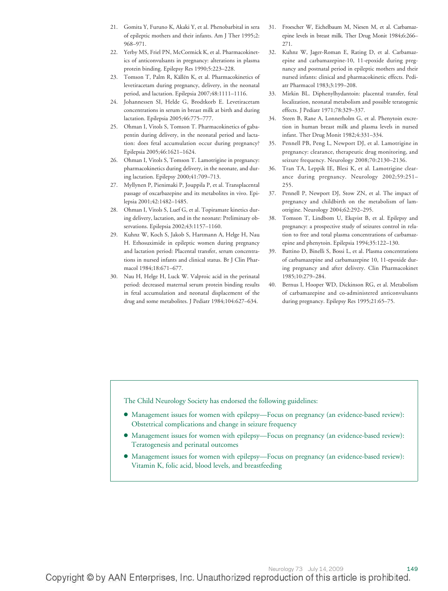- 21. Gomita Y, Furuno K, Akaki Y, et al. Phenobarbital in sera of epileptic mothers and their infants. Am J Ther 1995;2: 968–971.
- 22. Yerby MS, Friel PN, McCormick K, et al. Pharmacokinetics of anticonvulsants in pregnancy: alterations in plasma protein binding. Epilepsy Res 1990;5:223–228.
- 23. Tomson T, Palm R, Källén K, et al. Pharmacokinetics of levetiracetam during pregnancy, delivery, in the neonatal period, and lactation. Epilepsia 2007;48:1111–1116.
- 24. Johannessen SI, Helde G, Brodtkorb E. Levetiracetam concentrations in serum in breast milk at birth and during lactation. Epilepsia 2005;46:775–777.
- 25. Ohman I, Vitols S, Tomson T. Pharmacokinetics of gabapentin during delivery, in the neonatal period and lactation: does fetal accumulation occur during pregnancy? Epilepsia 2005;46:1621–1624.
- 26. Ohman I, Vitols S, Tomson T. Lamotrigine in pregnancy: pharmacokinetics during delivery, in the neonate, and during lactation. Epilepsy 2000;41:709–713.
- 27. Myllynen P, Pienimaki P, Jouppila P, et al. Transplacental passage of oxcarbazepine and its metabolites in vivo. Epilepsia 2001;42:1482–1485.
- 28. Ohman I, Vitols S, Luef G, et al. Topiramate kinetics during delivery, lactation, and in the neonate: Preliminary observations. Epilepsia 2002;43:1157–1160.
- 29. Kuhnz W, Koch S, Jakob S, Hartmann A, Helge H, Nau H. Ethosuximide in epileptic women during pregnancy and lactation period: Placental transfer, serum concentrations in nursed infants and clinical status. Br J Clin Pharmacol 1984;18:671–677.
- 30. Nau H, Helge H, Luck W. Valproic acid in the perinatal period: decreased maternal serum protein binding results in fetal accumulation and neonatal displacement of the drug and some metabolites. J Pediatr 1984;104:627–634.
- 31. Froescher W, Eichelbaum M, Niesen M, et al. Carbamazepine levels in breast milk. Ther Drug Monit 1984;6:266– 271.
- 32. Kuhnz W, Jager-Roman E, Rating D, et al. Carbamazepine and carbamazepine-10, 11-epoxide during pregnancy and postnatal period in epileptic mothers and their nursed infants: clinical and pharmacokinetic effects. Pediatr Pharmacol 1983;3:199–208.
- 33. Mirkin BL. Diphenylhydantoin: placental transfer, fetal localization, neonatal metabolism and possible teratogenic effects. J Pediatr 1971;78:329–337.
- 34. Steen B, Rane A, Lonnerholm G, et al. Phenytoin excretion in human breast milk and plasma levels in nursed infant. Ther Drug Monit 1982;4:331–334.
- 35. Pennell PB, Peng L, Newport DJ, et al. Lamotrigine in pregnancy: clearance, therapeutic drug monitoring, and seizure frequency. Neurology 2008;70:2130–2136.
- 36. Tran TA, Leppik IE, Blesi K, et al. Lamotrigine clearance during pregnancy. Neurology 2002;59:251– 255.
- 37. Pennell P, Newport DJ, Stow ZN, et al. The impact of pregnancy and childbirth on the metabolism of lamotrigine. Neurology 2004;62:292–295.
- 38. Tomson T, Lindbom U, Ekqvist B, et al. Epilepsy and pregnancy: a prospective study of seizures control in relation to free and total plasma concentrations of carbamazepine and phenytoin. Epilepsia 1994;35:122–130.
- 39. Battino D, Binelli S, Bossi L, et al. Plasma concentrations of carbamazepine and carbamazepine 10, 11-epoxide during pregnancy and after delivery. Clin Pharmacokinet 1985;10:279–284.
- 40. Bernus I, Hooper WD, Dickinson RG, et al. Metabolism of carbamazepine and co-administered anticonvulsants during pregnancy. Epilepsy Res 1995;21:65–75.

The Child Neurology Society has endorsed the following guidelines:

- Management issues for women with epilepsy—Focus on pregnancy (an evidence-based review): Obstetrical complications and change in seizure frequency
- Management issues for women with epilepsy—Focus on pregnancy (an evidence-based review): Teratogenesis and perinatal outcomes
- Management issues for women with epilepsy—Focus on pregnancy (an evidence-based review): Vitamin K, folic acid, blood levels, and breastfeeding